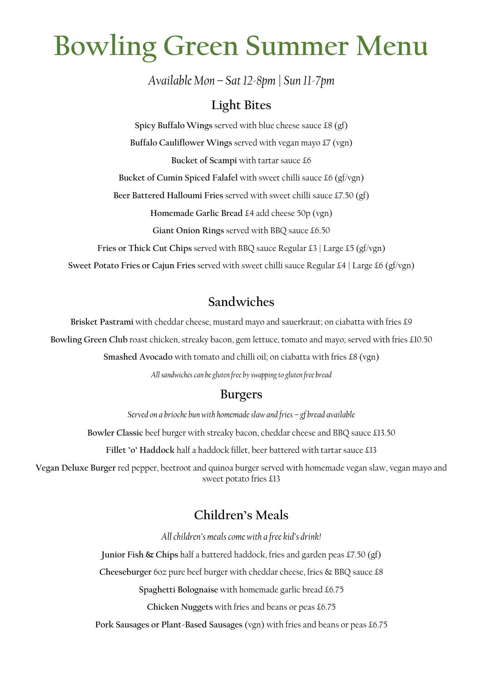# **Bowling Green Summer Menu**

*Available Mon – Sat 12-8pm| Sun 11-7pm*

#### **Light Bites**

**Spicy Buffalo Wings** served with blue cheese sauce £8 (gf) **Buffalo Cauliflower Wings** served with vegan mayo £7 (vgn) **Bucket of Scampi** with tartar sauce £6 **Bucket of Cumin Spiced Falafel** with sweet chilli sauce £6 (gf/vgn) **Beer Battered Halloumi Fries** served with sweet chilli sauce £7.50 (gf) **Homemade Garlic Bread** £4 add cheese 50p (vgn) **Giant Onion Rings** served with BBQ sauce £6.50 **Fries or Thick Cut Chips** served with BBQ sauce Regular £3 | Large £5 (gf/vgn) **Sweet Potato Fries or Cajun Fries** served with sweet chilli sauce Regular £4 | Large £6 (gf/vgn)

### **Sandwiches**

**Brisket Pastrami** with cheddar cheese, mustard mayo and sauerkraut; on ciabatta with fries £9

**Bowling Green Club** roast chicken, streaky bacon, gem lettuce, tomato and mayo; served with fries £10.50

**Smashed Avocado** with tomato and chilli oil; on ciabatta with fries £8 (vgn)

*All sandwiches can be gluten free by swapping to gluten free bread*

#### **Burgers**

*Served on a brioche bun with homemade slaw and fries – gf bread available*

**Bowler Classic** beef burger with streaky bacon, cheddar cheese and BBQ sauce £13.50

**Fillet 'o' Haddock** half a haddock fillet, beer battered with tartar sauce £13

**Vegan Deluxe Burger** red pepper, beetroot and quinoa burger served with homemade vegan slaw, vegan mayo and sweet potato fries £13

#### **Children's Meals**

*All children's meals come with a free kid's drink!*

**Junior Fish & Chips** half a battered haddock, fries and garden peas £7.50 (gf)

**Cheeseburger** 6oz pure beef burger with cheddar cheese, fries & BBQ sauce £8

**Spaghetti Bolognaise** with homemade garlic bread £6.75

**Chicken Nuggets** with fries and beans or peas £6.75

**Pork Sausages or Plant-Based Sausages** (vgn) with fries and beans or peas £6.75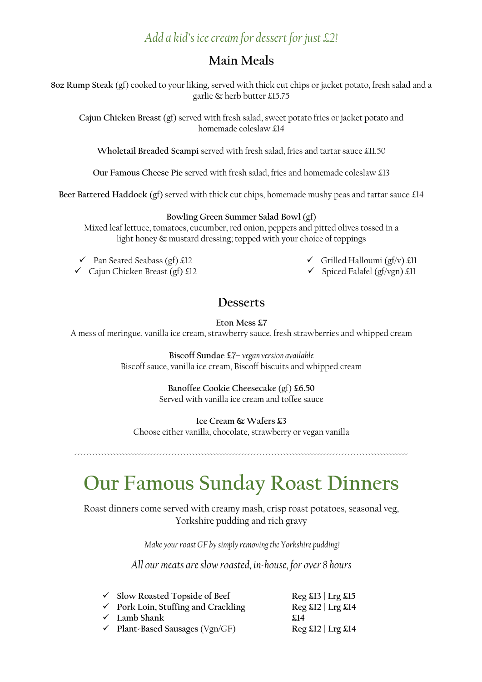#### *Add a kid's icecream for dessert for just £2!*

#### **Main Meals**

**8oz Rump Steak** (gf) cooked to your liking, served with thick cut chips or jacket potato, fresh salad and a garlic & herb butter £15.75

**Cajun Chicken Breast** (gf) served with fresh salad, sweet potato fries or jacket potato and homemade coleslaw £14

**Wholetail Breaded Scampi** served with fresh salad, fries and tartar sauce £11.50

**Our Famous Cheese Pie** served with fresh salad, fries and homemade coleslaw £13

**Beer Battered Haddock** (gf) served with thick cut chips, homemade mushy peas and tartar sauce £14

**Bowling Green Summer Salad Bowl** (gf)

Mixed leaf lettuce, tomatoes, cucumber, red onion, peppers and pitted olives tossed in a light honey & mustard dressing; topped with your choice of toppings

 $\checkmark$  Pan Seared Seabass (gf) £12

 $\checkmark$  Grilled Halloumi (gf/v) £11

 $\checkmark$  Cajun Chicken Breast (gf) £12

- $\checkmark$  Spiced Falafel (gf/vgn) £11
- **Desserts**

**Eton Mess £7** A mess of meringue, vanilla ice cream, strawberry sauce, fresh strawberries and whipped cream

> **Biscoff Sundae £7**– *vegan version available* Biscoff sauce, vanilla ice cream, Biscoff biscuits and whipped cream

> > **Banoffee Cookie Cheesecake** (gf) **£6.50** Served with vanilla ice cream and toffee sauce

**Ice Cream & Wafers £3** Choose either vanilla, chocolate, strawberry or vegan vanilla

--------------------------------------------------------------------------------------------------------------

## **Our Famous Sunday Roast Dinners**

Roast dinners come served with creamy mash, crisp roast potatoes, seasonal veg, Yorkshire pudding and rich gravy

*Make your roast GF by simply removing the Yorkshire pudding!*

*All our meats are slow roasted, in-house, for over 8 hours*

| √ Slow Roasted Topside of Beef                 | $\text{Reg } \pounds$ 13   Lrg $\pounds$ 15 |
|------------------------------------------------|---------------------------------------------|
| $\checkmark$ Pork Loin, Stuffing and Crackling | $Reg$ £12   Lrg £14                         |
| $\checkmark$ Lamb Shank                        | \$14                                        |
| $\checkmark$ Plant-Based Sausages (Vgn/GF)     | $Reg$ £12   Lrg £14                         |